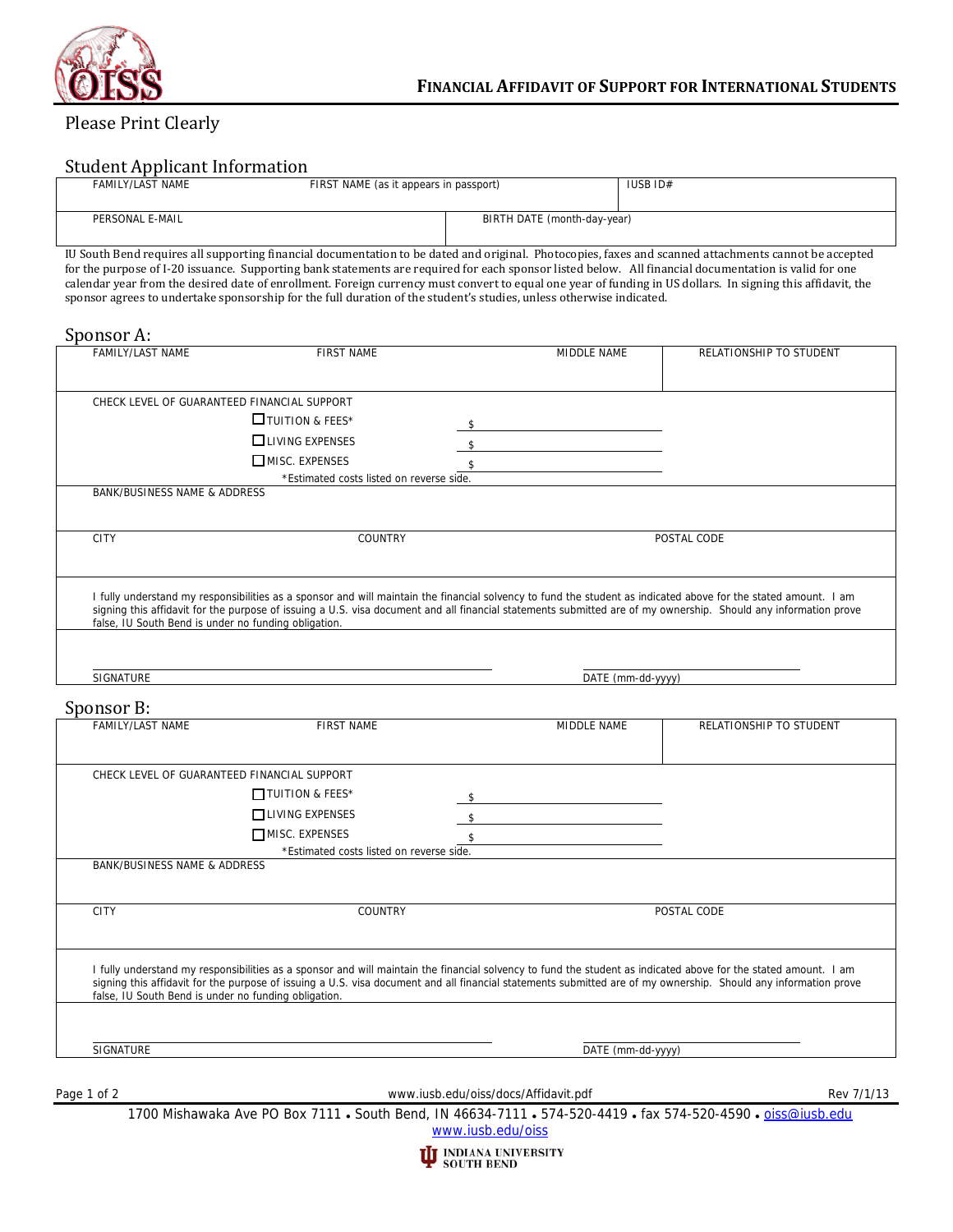

# Please Print Clearly

## Student Applicant Information

| FAMILY/LAST NAME | FIRST NAME (as it appears in passport) |                             | IUSB ID# |
|------------------|----------------------------------------|-----------------------------|----------|
| PERSONAL E-MAIL  |                                        | BIRTH DATE (month-day-year) |          |

IU South Bend requires all supporting financial documentation to be dated and original. Photocopies, faxes and scanned attachments cannot be accepted for the purpose of I-20 issuance. Supporting bank statements are required for each sponsor listed below. All financial documentation is valid for one calendar year from the desired date of enrollment. Foreign currency must convert to equal one year of funding in US dollars. In signing this affidavit, the sponsor agrees to undertake sponsorship for the full duration of the student's studies, unless otherwise indicated.

#### Sponsor A:

| FAMILY/LAST NAME                                     | <b>FIRST NAME</b>                                                                                                                                               | MIDDLE NAME | RELATIONSHIP TO STUDENT                                                                                                                                         |
|------------------------------------------------------|-----------------------------------------------------------------------------------------------------------------------------------------------------------------|-------------|-----------------------------------------------------------------------------------------------------------------------------------------------------------------|
|                                                      | CHECK LEVEL OF GUARANTEED FINANCIAL SUPPORT                                                                                                                     |             |                                                                                                                                                                 |
|                                                      | $\Box$ TUITION & FEES*                                                                                                                                          |             |                                                                                                                                                                 |
|                                                      |                                                                                                                                                                 |             |                                                                                                                                                                 |
|                                                      | $\Box$ LIVING EXPENSES                                                                                                                                          |             |                                                                                                                                                                 |
|                                                      | $\square$ MISC. EXPENSES                                                                                                                                        |             |                                                                                                                                                                 |
|                                                      | *Estimated costs listed on reverse side.                                                                                                                        |             |                                                                                                                                                                 |
| BANK/BUSINESS NAME & ADDRESS                         |                                                                                                                                                                 |             |                                                                                                                                                                 |
| <b>CITY</b>                                          | <b>COUNTRY</b>                                                                                                                                                  |             | POSTAL CODE                                                                                                                                                     |
|                                                      |                                                                                                                                                                 |             |                                                                                                                                                                 |
|                                                      | I fully understand my responsibilities as a sponsor and will maintain the financial solvency to fund the student as indicated above for the stated amount. I am |             |                                                                                                                                                                 |
| false, IU South Bend is under no funding obligation. |                                                                                                                                                                 |             | signing this affidavit for the purpose of issuing a U.S. visa document and all financial statements submitted are of my ownership. Should any information prove |
|                                                      |                                                                                                                                                                 |             |                                                                                                                                                                 |
|                                                      |                                                                                                                                                                 |             |                                                                                                                                                                 |

### Sponsor  $R$ .

|             | oponooi p.                                           |                                             |                                                                                                                                                                 |                         |
|-------------|------------------------------------------------------|---------------------------------------------|-----------------------------------------------------------------------------------------------------------------------------------------------------------------|-------------------------|
|             | <b>FAMILY/LAST NAME</b>                              | <b>FIRST NAME</b>                           | MIDDLE NAME                                                                                                                                                     | RELATIONSHIP TO STUDENT |
|             |                                                      |                                             |                                                                                                                                                                 |                         |
|             |                                                      | CHECK LEVEL OF GUARANTEED FINANCIAL SUPPORT |                                                                                                                                                                 |                         |
|             |                                                      | $\prod$ TUITION & FEES*                     | - \$                                                                                                                                                            |                         |
|             |                                                      | $\Box$ LIVING EXPENSES                      |                                                                                                                                                                 |                         |
|             |                                                      | MISC. EXPENSES                              |                                                                                                                                                                 |                         |
|             |                                                      | *Estimated costs listed on reverse side.    |                                                                                                                                                                 |                         |
|             | <b>BANK/BUSINESS NAME &amp; ADDRESS</b>              |                                             |                                                                                                                                                                 |                         |
|             |                                                      |                                             |                                                                                                                                                                 |                         |
|             | <b>CITY</b>                                          | <b>COUNTRY</b>                              |                                                                                                                                                                 | POSTAL CODE             |
|             |                                                      |                                             |                                                                                                                                                                 |                         |
|             |                                                      |                                             | I fully understand my responsibilities as a sponsor and will maintain the financial solvency to fund the student as indicated above for the stated amount. I am |                         |
|             | false, IU South Bend is under no funding obligation. |                                             | signing this affidavit for the purpose of issuing a U.S. visa document and all financial statements submitted are of my ownership. Should any information prove |                         |
|             |                                                      |                                             |                                                                                                                                                                 |                         |
|             |                                                      |                                             |                                                                                                                                                                 |                         |
|             | SIGNATURE                                            |                                             | DATE (mm-dd-yyyy)                                                                                                                                               |                         |
|             |                                                      |                                             |                                                                                                                                                                 |                         |
|             |                                                      |                                             |                                                                                                                                                                 |                         |
| Page 1 of 2 |                                                      |                                             | www.iusb.edu/oiss/docs/Affidavit.pdf                                                                                                                            | Rev 7/1/13              |
|             |                                                      |                                             | 1700 Mishawaka Ave PO Box 7111 • South Bend, IN 46634-7111 • 574-520-4419 • fax 574-520-4590 • oiss@iusb.edu                                                    |                         |
|             |                                                      |                                             | www.iusb.edu/oiss                                                                                                                                               |                         |

**U** INDIANA UNIVERSITY